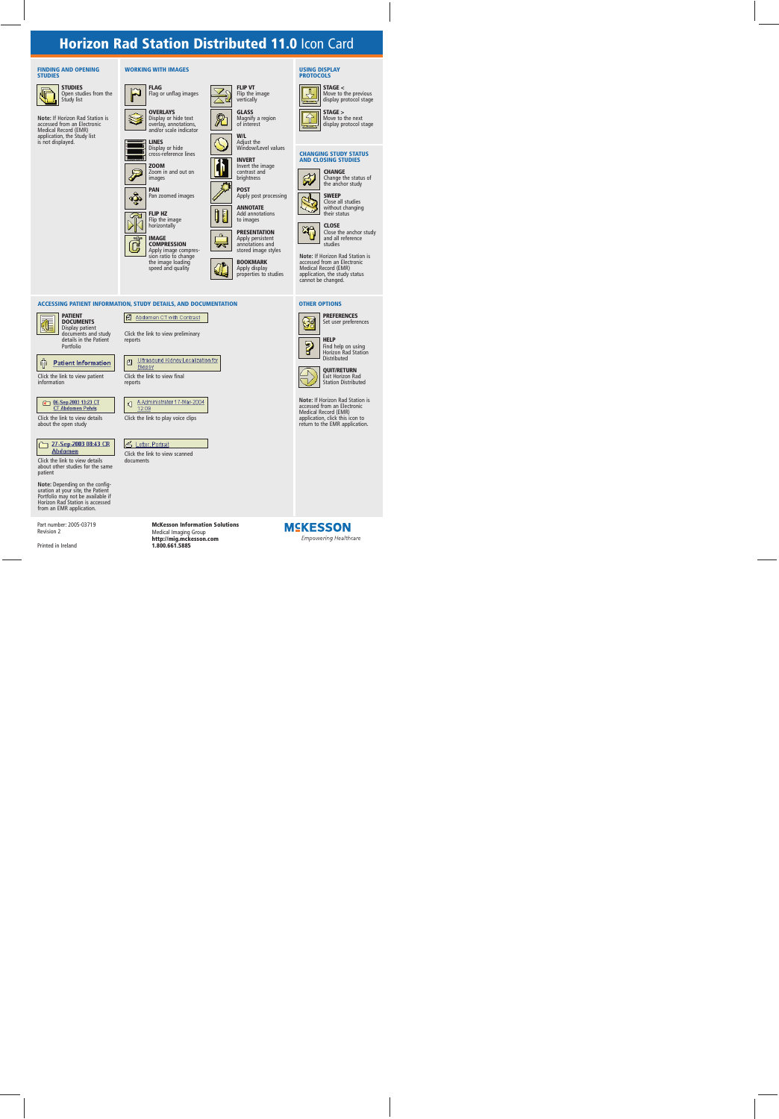# **Horizon Rad Station Distributed 11.0 Icon Card**

**FLIP VT** Flip the image vertically **GLASS** Magnify a region of interest **W/L** Adjust the Window/Level values

**INVERT** Invert the image contrast and brightness **POST**

#### **FINDING AND OPENING STUDIES**



**STUDIES** Open studies from the Study list

**Note:** If Horizon Rad Station is accessed from an Electronic Medical Record (EMR) application, the Study list is not displayed.

### **WORKING WITH IMAGES**





**OVERLAYS** Display or hide text overlay, annotations, and/or scale indicator



**LINES** Display or hide cross-reference lines







ESSING PATIENT INFORMATION, STUDY DETAILS, AND DOCUMENTATION<br>
ESSING PATIENT INFORMATION, STUDY DETAILS, AND DOCUMENTATION<br>
DESCRIPTION COMPRESSION<br>
THE MAGE (FED COMPRESSION)<br>
THE MAGE (FED COMPRESSION)<br>
THE MAGE (FED COM **IMAGE COMPRESSION** Apply image compression ratio to change the image loading speed and quality



**BOOKMARK** Apply display

# properties to studies

Apply post processing **ANNOTATE** Add annotations to images **PRESENTATION** Apply persistent annotations and stored image styles

#### **USING DISPLAY PROTOCOLS**



**STAGE <** Move to the previous display protocol stage



**STAGE >** Move to the next display protocol stage

### **CHANGING STUDY STATUS AND CLOSING STUDIES**



**CHANGE** Change the status of the anchor study



**SWEEP** Close all studies without changing their status



**CLOSE** Close the anchor study and all reference studies

**Note:** If Horizon Rad Station is accessed from an Electronic Medical Record (EMR) application, the study status cannot be changed.

### **ACCESSING PATIENT INFORMATION, STUDY DETAILS, AND DOCUMENTATION OTHER OPTIONS**



**PREFERENCES** Set user preferences



**HELP** Find help on using Horizon Rad Station



**QUIT/RETURN** Exit Horizon Rad

**Note:** If Horizon Rad Station is Station Distributed

accessed from an Electronic Medical Record (EMR) application, click this icon to return to the EMR application.

|--|

**PATIENT DOCUMENTS**

Display patient documents and study details in the Patient Portfolio

Click the link to view preliminary



Click the link to view patient information

| <b>R 06-Sep-2003 13:23 CT</b> |
|-------------------------------|
| <b>CT Abdomen Pelvis</b>      |

Click the link to view details about the open study



Click the link to view details about other studies for the same patient

**Note:** Depending on the config- uration at your site, the Patient Portfolio may not be available if Horizon Rad Station is accessed from an EMR application.

Part number: 2005-03719 Revision 2

Printed in Ireland



reports



Click the link to view final reports

A.Administrator 17-Mar-2004 বা 12:09

Click the link to play voice clips

### Letter, Portrait

Click the link to view scanned documents

> **McKesson Information Solutions** Medical Imaging Group **http://mig.mckesson.com 1.800.661.5885**